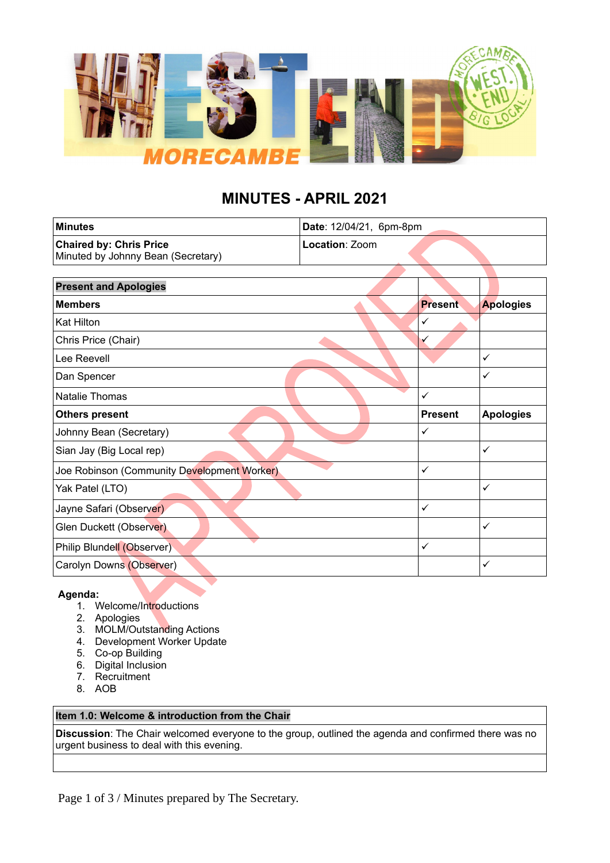

# **MINUTES - APRIL 2021**

| <b>Minutes</b>                                                       | Date: 12/04/21, 6pm-8pm |                |                  |
|----------------------------------------------------------------------|-------------------------|----------------|------------------|
| <b>Chaired by: Chris Price</b><br>Minuted by Johnny Bean (Secretary) | <b>Location: Zoom</b>   |                |                  |
|                                                                      |                         |                |                  |
| <b>Present and Apologies</b>                                         |                         |                |                  |
| <b>Members</b>                                                       |                         | <b>Present</b> | <b>Apologies</b> |
| <b>Kat Hilton</b>                                                    |                         | $\checkmark$   |                  |
| Chris Price (Chair)                                                  |                         | $\checkmark$   |                  |
| Lee Reevell                                                          |                         |                | $\checkmark$     |
| Dan Spencer                                                          |                         |                | ✓                |
| Natalie Thomas                                                       |                         | $\checkmark$   |                  |
| <b>Others present</b>                                                |                         | <b>Present</b> | <b>Apologies</b> |
| Johnny Bean (Secretary)                                              |                         | ✓              |                  |
| Sian Jay (Big Local rep)                                             |                         |                | $\checkmark$     |
| Joe Robinson (Community Development Worker)                          |                         | $\checkmark$   |                  |
| Yak Patel (LTO)                                                      |                         |                | $\checkmark$     |
| Jayne Safari (Observer)                                              |                         | ✓              |                  |
| Glen Duckett (Observer)                                              |                         |                | $\checkmark$     |
| Philip Blundell (Observer)                                           |                         | $\checkmark$   |                  |
| Carolyn Downs (Observer)                                             |                         |                | $\checkmark$     |

# **Agenda:**

- 1. Welcome/Introductions
- 2. Apologies
- 3. MOLM/Outstanding Actions
- 4. Development Worker Update
- 5. Co-op Building
- 6. Digital Inclusion
- 7. Recruitment
- 8. AOB

# **Item 1.0: Welcome & introduction from the Chair**

**Discussion**: The Chair welcomed everyone to the group, outlined the agenda and confirmed there was no urgent business to deal with this evening.

Page 1 of 3 / Minutes prepared by The Secretary.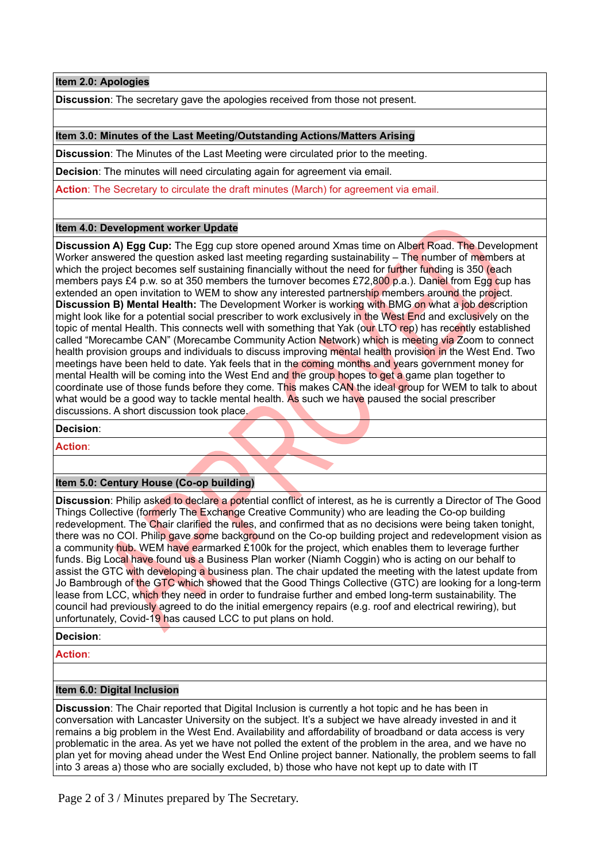**Item 2.0: Apologies**

**Discussion**: The secretary gave the apologies received from those not present.

# **Item 3.0: Minutes of the Last Meeting/Outstanding Actions/Matters Arising**

**Discussion**: The Minutes of the Last Meeting were circulated prior to the meeting.

**Decision**: The minutes will need circulating again for agreement via email.

**Action:** The Secretary to circulate the draft minutes (March) for agreement via email.

# **Item 4.0: Development worker Update**

**Discussion A) Egg Cup:** The Egg cup store opened around Xmas time on Albert Road. The Development Worker answered the question asked last meeting regarding sustainability – The number of members at which the project becomes self sustaining financially without the need for further funding is 350 (each members pays £4 p.w. so at 350 members the turnover becomes £72,800 p.a.). Daniel from Egg cup has extended an open invitation to WEM to show any interested partnership members around the project. **Discussion B) Mental Health:** The Development Worker is working with BMG on what a job description might look like for a potential social prescriber to work exclusively in the West End and exclusively on the topic of mental Health. This connects well with something that Yak (our LTO rep) has recently established called "Morecambe CAN" (Morecambe Community Action Network) which is meeting via Zoom to connect health provision groups and individuals to discuss improving mental health provision in the West End. Two meetings have been held to date. Yak feels that in the coming months and years government money for mental Health will be coming into the West End and the group hopes to get a game plan together to coordinate use of those funds before they come. This makes CAN the ideal group for WEM to talk to about what would be a good way to tackle mental health. As such we have paused the social prescriber discussions. A short discussion took place.

**Decision**:

**Action**:

# **Item 5.0: Century House (Co-op building)**

**Discussion**: Philip asked to declare a potential conflict of interest, as he is currently a Director of The Good Things Collective (formerly The Exchange Creative Community) who are leading the Co-op building redevelopment. The Chair clarified the rules, and confirmed that as no decisions were being taken tonight, there was no COI. Philip gave some background on the Co-op building project and redevelopment vision as a community hub. WEM have earmarked £100k for the project, which enables them to leverage further funds. Big Local have found us a Business Plan worker (Niamh Coggin) who is acting on our behalf to assist the GTC with developing a business plan. The chair updated the meeting with the latest update from Jo Bambrough of the GTC which showed that the Good Things Collective (GTC) are looking for a long-term lease from LCC, which they need in order to fundraise further and embed long-term sustainability. The council had previously agreed to do the initial emergency repairs (e.g. roof and electrical rewiring), but unfortunately, Covid-19 has caused LCC to put plans on hold.

**Decision**:

**Action**:

#### **Item 6.0: Digital Inclusion**

**Discussion**: The Chair reported that Digital Inclusion is currently a hot topic and he has been in conversation with Lancaster University on the subject. It's a subject we have already invested in and it remains a big problem in the West End. Availability and affordability of broadband or data access is very problematic in the area. As yet we have not polled the extent of the problem in the area, and we have no plan yet for moving ahead under the West End Online project banner. Nationally, the problem seems to fall into 3 areas a) those who are socially excluded, b) those who have not kept up to date with IT

Page 2 of 3 / Minutes prepared by The Secretary.